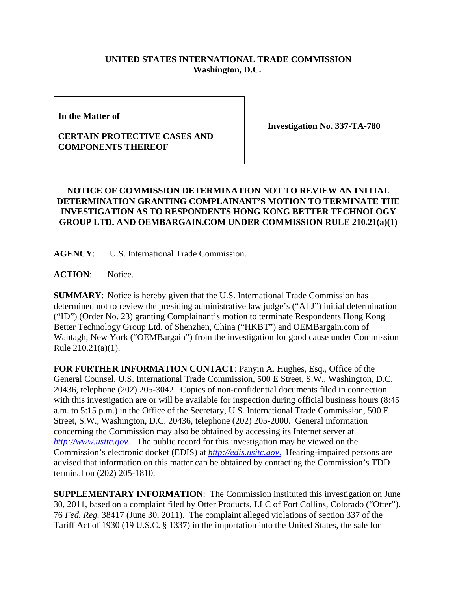## **UNITED STATES INTERNATIONAL TRADE COMMISSION Washington, D.C.**

**In the Matter of** 

## **CERTAIN PROTECTIVE CASES AND COMPONENTS THEREOF**

**Investigation No. 337-TA-780**

## **NOTICE OF COMMISSION DETERMINATION NOT TO REVIEW AN INITIAL DETERMINATION GRANTING COMPLAINANT'S MOTION TO TERMINATE THE INVESTIGATION AS TO RESPONDENTS HONG KONG BETTER TECHNOLOGY GROUP LTD. AND OEMBARGAIN.COM UNDER COMMISSION RULE 210.21(a)(1)**

**AGENCY**: U.S. International Trade Commission.

**ACTION**: Notice.

**SUMMARY**: Notice is hereby given that the U.S. International Trade Commission has determined not to review the presiding administrative law judge's ("ALJ") initial determination ("ID") (Order No. 23) granting Complainant's motion to terminate Respondents Hong Kong Better Technology Group Ltd. of Shenzhen, China ("HKBT") and OEMBargain.com of Wantagh, New York ("OEMBargain") from the investigation for good cause under Commission Rule 210.21(a)(1).

**FOR FURTHER INFORMATION CONTACT**: Panyin A. Hughes, Esq., Office of the General Counsel, U.S. International Trade Commission, 500 E Street, S.W., Washington, D.C. 20436, telephone (202) 205-3042. Copies of non-confidential documents filed in connection with this investigation are or will be available for inspection during official business hours (8:45 a.m. to 5:15 p.m.) in the Office of the Secretary, U.S. International Trade Commission, 500 E Street, S.W., Washington, D.C. 20436, telephone (202) 205-2000. General information concerning the Commission may also be obtained by accessing its Internet server at *http://www.usitc.gov*. The public record for this investigation may be viewed on the Commission's electronic docket (EDIS) at *http://edis.usitc.gov*. Hearing-impaired persons are advised that information on this matter can be obtained by contacting the Commission's TDD terminal on (202) 205-1810.

**SUPPLEMENTARY INFORMATION**: The Commission instituted this investigation on June 30, 2011, based on a complaint filed by Otter Products, LLC of Fort Collins, Colorado ("Otter"). 76 *Fed. Reg.* 38417 (June 30, 2011). The complaint alleged violations of section 337 of the Tariff Act of 1930 (19 U.S.C. § 1337) in the importation into the United States, the sale for